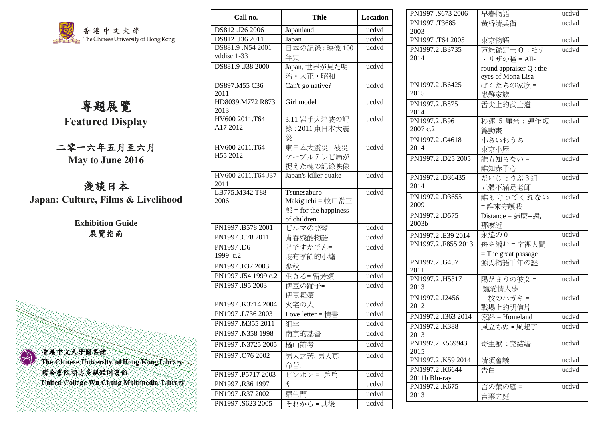

專題展覽 **Featured Display**

二零一六年五月至六月 **May to June 2016**

淺談日本 **Japan: Culture, Films & Livelihood**

> **Exhibition Guide** 展覽指南



| Call no.                 | <b>Title</b>                           | Location |
|--------------------------|----------------------------------------|----------|
| DS812 .J26 2006          | Japanland                              | ucdvd    |
| DS812 .J36 2011          | Japan                                  | ucdvd    |
| DS881.9 .N54 2001        | 日本の記錄:映像100                            | ucdvd    |
| vddisc.1-33              | 年史                                     |          |
| DS881.9 .J38 2000        | Japan,世界が見た明                           | ucdvd    |
|                          | 治·大正·昭和                                |          |
| DS897.M55 C36<br>2011    | Can't go native?                       | ucdvd    |
| HD8039.M772 R873<br>2013 | Girl model                             | ucdvd    |
| HV600 2011.T64           | 3.11 岩手大津波の記                           | ucdvd    |
| A17 2012                 | 錄: 2011 東日本大震                          |          |
|                          | 災                                      |          |
| HV600 2011.T64           | 東日本大震災:被災                              | ucdvd    |
| H55 2012                 | ケーブルテレビ局が                              |          |
|                          | 捉えた魂の記錄映像                              |          |
| HV600 2011.T64 J37       | Japan's killer quake                   | ucdvd    |
| 2011                     |                                        |          |
| LB775.M342 T88<br>2006   | Tsunesaburo<br>Makiguchi = 牧口常三        | ucdvd    |
|                          | $\hat{\mathbb{B}}$ = for the happiness |          |
|                          | of children                            |          |
| PN1997 .B578 2001        | ビルマの竪琴                                 | ucdvd    |
| PN1997 .C78 2011         | 青春残酷物語                                 | ucdvd    |
| PN1997.D6                | どですかでん=                                | ucdvd    |
| 1999 c.2                 | 沒有季節的小墟                                |          |
| PN1997 .E37 2003         | 麥秋                                     | ucdvd    |
| PN1997 .I54 1999 c.2     | 生きる=留芳頌                                | ucdvd    |
| PN1997 .I95 2003         | 伊豆の踊子=                                 | ucdvd    |
|                          | 伊豆舞孃                                   |          |
| PN1997.K3714 2004        | 火宅の人                                   | ucdvd    |
| PN1997 .L736 2003        | Love letter = 情書                       | ucdvd    |
| PN1997 .M355 2011        | 細雪                                     | ucdvd    |
| PN1997 .N358 1998        | 南京的基督                                  | ucdvd    |
| PN1997.N3725 2005        | 楢山節考                                   | ucdvd    |
| PN1997.O76 2002          | 男人之苦.男人真                               | ucdvd    |
|                          | 命苦.                                    |          |
| PN1997 .P5717 2003       | ____<br>ピンポン = 乒乓                      | ucdvd    |
| PN1997 .R36 1997         | 乱                                      | ucdvd    |
| PN1997 .R37 2002         | 羅生門                                    | ucdvd    |
| PN1997 .S623 2005        | それから = 其後                              | ucdvd    |

| PN1997 .S673 2006                       | 早春物語                              | ucdvd |
|-----------------------------------------|-----------------------------------|-------|
| PN1997.T3685                            | 黃昏清兵衛                             | ucdvd |
| 2003                                    |                                   |       |
| PN1997.T64 2005                         | 東京物語                              | ucdvd |
| PN1997.2.B3735                          | 万能鑑定士Q:モナ                         | ucdvd |
| 2014                                    | · リザの瞳 = All-                     |       |
|                                         | round appraiser Q : the           |       |
|                                         | eyes of Mona Lisa                 |       |
| PN1997.2.B6425                          | ぼくたちの家族=                          | ucdvd |
| 2015                                    | 患難家族                              |       |
| PN1997.2.B875                           | 舌尖上的武士道                           | ucdvd |
| 2014                                    |                                   |       |
| PN1997.2.B96                            | 秒速 5 厘米:連作短                       | ucdvd |
| 2007 c.2                                | 篇動畫                               |       |
| PN1997.2.C4618                          | 小さいおうち                            | ucdvd |
| 2014                                    | 東京小屋                              |       |
| PN1997.2.D25 2005                       | 誰も知らない=                           | ucdvd |
|                                         | 誰知赤子心                             |       |
| PN1997.2.D36435                         | だいじょうぶ3組                          | ucdvd |
| 2014                                    | 五體不滿足老師                           |       |
| PN1997.2.D3655                          | 誰も守ってくれない                         | ucdvd |
| 2009                                    | = 誰來守護我                           |       |
| PN1997.2.D575                           | Distance = 這麼--遠,                 | ucdvd |
| 2003 <sub>b</sub>                       | 那麼近                               |       |
|                                         | 永遠の0                              | ucdvd |
| PN1997.2.E39 2014<br>PN1997.2.F855 2013 |                                   | ucdvd |
|                                         | 舟を編む = 字裡人間                       |       |
| PN1997.2.G457                           | $=$ The great passage<br>源氏物語千年の謎 | ucdvd |
| 2011                                    |                                   |       |
| PN1997.2.H5317                          | 陽だまりの彼女=                          | ucdvd |
| 2013                                    | 寵愛情人夢                             |       |
| PN1997.2.I2456                          | 一枚のハガキ=                           | ucdvd |
| 2012                                    | 戰場上的明信片                           |       |
| PN1997.2.I363 2014                      | 家路 = Homeland                     | ucdvd |
| PN1997.2.K388                           | 風立ちぬ =風起了                         | ucdvd |
| 2013                                    |                                   |       |
| PN1997.2 K569943                        | 寄生獣:完結編                           | ucdvd |
| 2015                                    |                                   |       |
| PN1997.2.K592014                        | 清須會議                              | ucdvd |
| PN1997.2.K6644                          | 告白                                | ucdvd |
| 2011b Blu-ray                           |                                   |       |
| PN1997.2.K675                           | 言の葉の庭=                            | ucdvd |
| 2013                                    | 言葉之庭                              |       |
|                                         |                                   |       |